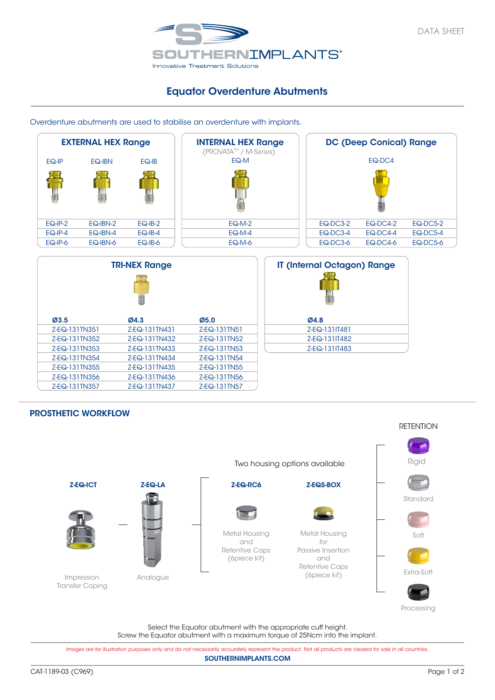

## Equator Overdenture Abutments

Overdenture abutments are used to stabilise an overdenture with implants.



## PROSTHETIC WORKFLOW



Select the Equator abutment with the appropriate cuff height. Screw the Equator abutment with a maximum torque of 25Ncm into the implant.

SOUTHERNIMPLANTS.COM Images are for illustration purposes only and do not necessarily accurately represent the product. Not all products are cleared for sale in all countries.